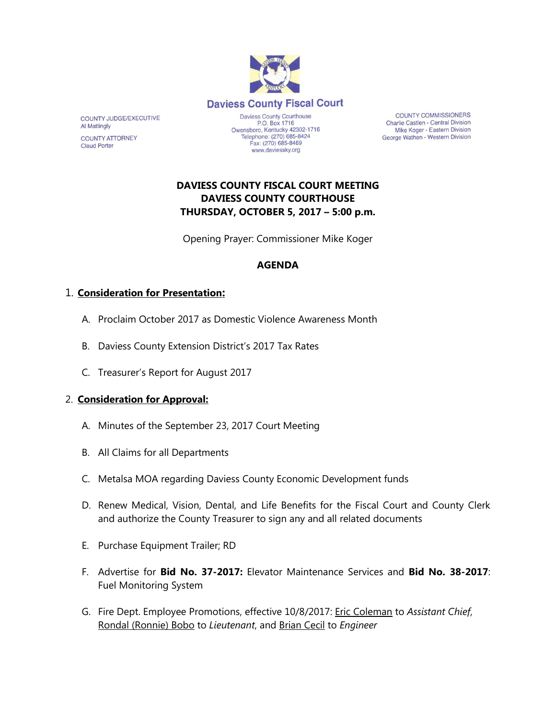

Telephone: (270) 685-8424

Fax: (270) 685-8469

www.daviessky.org

**COUNTY COMMISSIONERS** Charlie Castlen - Central Division Mike Koger - Eastern Division George Wathen - Western Division

# **DAVIESS COUNTY FISCAL COURT MEETING DAVIESS COUNTY COURTHOUSE THURSDAY, OCTOBER 5, 2017 – 5:00 p.m.**

Opening Prayer: Commissioner Mike Koger

#### **AGENDA**

### 1. **Consideration for Presentation:**

COUNTY JUDGE/EXECUTIVE

COUNTY ATTORNEY

**Al Mattingly** 

**Claud Porter** 

- A. Proclaim October 2017 as Domestic Violence Awareness Month
- B. Daviess County Extension District's 2017 Tax Rates
- C. Treasurer's Report for August 2017

#### 2. **Consideration for Approval:**

- A. Minutes of the September 23, 2017 Court Meeting
- B. All Claims for all Departments
- C. Metalsa MOA regarding Daviess County Economic Development funds
- D. Renew Medical, Vision, Dental, and Life Benefits for the Fiscal Court and County Clerk and authorize the County Treasurer to sign any and all related documents
- E. Purchase Equipment Trailer; RD
- F. Advertise for **Bid No. 37-2017:** Elevator Maintenance Services and **Bid No. 38-2017**: Fuel Monitoring System
- G. Fire Dept. Employee Promotions, effective 10/8/2017: Eric Coleman to *Assistant Chief*, Rondal (Ronnie) Bobo to *Lieutenant*, and Brian Cecil to *Engineer*